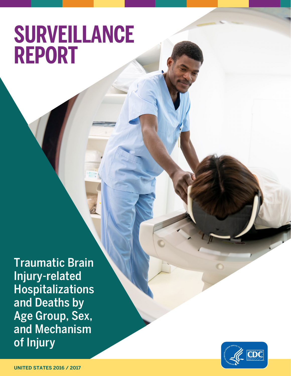## **SURVEILLANCE REPORT**

Traumatic Brain Injury-related Hospitalizations and Deaths by Age Group, Sex, and Mechanism of Injury

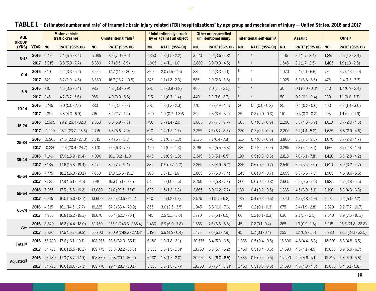| <b>AGE</b><br><b>GROUP</b><br>(YRS) |          | <b>Motor vehicle</b><br>traffic crashes |                                         | Unintentional falls <sup>‡</sup> |                       | <b>Unintentionally struck</b><br>by or against an object |                       | <b>Other or unspecified</b><br>unintentional injury |                       | Intentional self-harm <sup>§</sup> |                       | <b>Assault</b> |                       | Other <sup>1</sup> |                       |
|-------------------------------------|----------|-----------------------------------------|-----------------------------------------|----------------------------------|-----------------------|----------------------------------------------------------|-----------------------|-----------------------------------------------------|-----------------------|------------------------------------|-----------------------|----------------|-----------------------|--------------------|-----------------------|
|                                     | YEAR NO. |                                         | <b>RATE* (95% CI)</b>                   | NO.                              | <b>RATE* (95% CI)</b> | NO.                                                      | <b>RATE* (95% CI)</b> | NO.                                                 | <b>RATE* (95% CI)</b> | NO.                                | <b>RATE* (95% CI)</b> | NO.            | <b>RATE* (95% CI)</b> | NO.                | <b>RATE* (95% CI)</b> |
| $0 - 17$                            | 2016     | 5,485                                   | $7.4(6.5 - 8.4)$                        | 6,085                            | $8.3(7.0-9.5)$        | 1,350                                                    | $1.8(1.5 - 2.2)$      | 3,120                                               | $4.2(3.6 - 4.8)$      | $\S$                               | $\S$                  | 1,515          | $2.1(1.7 - 2.4)$      | 1,895              | $2.6(1.8-3.4)$        |
|                                     | 2017     | 5,015                                   | $6.8(5.9 - 7.7)$                        | 5,680                            | $7.7(6.5-8.9)$        | 1,005                                                    | $1.4(1.1-1.6)$        | 2,880                                               | $3.9(3.3 - 4.5)$      | $\S$                               | ş                     | 1,545          | $2.1(1.7 - 2.5)$      | 1,405              | $1.9(1.3 - 2.5)$      |
| $0 - 4$                             | 2016     | 840                                     | $4.2(3.3-5.2)$                          | 3,525                            | $17.7(14.7 - 20.7)$   | 390                                                      | $2.0(1.5 - 2.5)$      | 835                                                 | $4.2(3.3-5.1)$        | ş                                  | $\S$                  | 1.070          | $5.4(4.1-6.6)$        | 735                | $3.7(2.3 - 5.0)$      |
|                                     | 2017     | 740                                     | $3.7(2.9 - 4.5)$                        | 3,330                            | $16.7(13.7-19.8)$     | 345                                                      | $1.7(1.2 - 2.3)$      | 585                                                 | $2.9(2.3 - 3.6)$      | $\S$                               | $\S$                  | 1,025          | $5.2(3.8-6.5)$        | 475                | $2.4(1.5-3.3)$        |
| $5-9$                               | 2016     | 910                                     | $4.5(3.5-5.4)$                          | 985                              | $4.8(3.8-5.9)$        | 275                                                      | $1.3(0.9 - 1.8)$      | 405                                                 | $2.0(1.5 - 2.5)$      | $\S$                               | $\S$                  | 30             | $0.1(0.0 - 0.3)$      | 340                | $1.7(0.9 - 2.4)$      |
|                                     | 2017     | 945                                     | $4.7(3.7-5.6)$                          | 985                              | $4.9(3.9-5.8)$        | 215                                                      | $1.1(0.7 - 1.4)$      | 440                                                 | $2.2(1.6 - 2.7)$      | $\S$                               | $\S$                  | 50             | $0.2(0.1 - 0.4)$      | 230                | $1.1(0.6 - 1.7)$      |
| $10 - 14$                           | 2016     | 1,245                                   | $6.0(5.0 - 7.1)$                        | 880                              | $4.3(3.4-5.2)$        | 375                                                      | $1.8(1.3 - 2.3)$      | 770                                                 | $3.7(2.9 - 4.6)$      | 20                                 | $0.1(0.0 - 0.2)$      | 85             | $0.4(0.2-0.6)$        | 450                | $2.2(1.4 - 3.0)$      |
|                                     | 2017     | 1,210                                   | $5.8(4.8-6.9)$                          | 715                              | $3.4(2.7 - 4.2)$      | 200                                                      | $1.0(0.7 - 1.3)$ &    | 895                                                 | $4.3(3.4-5.2)$        | 35                                 | $0.2(0.0 - 0.3)$      | 110            | $0.5(0.3 - 0.8)$      | 295                | $1.4(0.9-1.9)$        |
| $15 - 24$                           | 2016     | 12,695                                  | 29.2 (26.4 - 32.0)                      | 2,860                            | $6.6(5.9 - 7.3)$      | 750                                                      | $1.7(1.4-2.0)$        | 3,805                                               | $8.7(7.8-9.7)$        | 305                                | $0.7(0.5-0.9)$        | 2,290          | $5.3(4.6-5.9)$        | 1,610              | $3.7(2.8 - 4.6)$      |
|                                     | 2017     | 11,290                                  | 26.2 (23.7 - 28.6)                      | 2,715                            | $6.3(5.6 - 7.0)$      | 610                                                      | $1.4(1.2-1.7)$        | 3,255                                               | $7.5(6.7 - 8.3)$      | 320                                | $0.7(0.5-0.9)$        | 2,200          | $5.1(4.4-5.8)$        | 1,625              | $3.8(2.9 - 4.6)$      |
| $25 - 34$                           | 2016     | 10,965                                  | 24.5 (22.0 - 27.0)                      | 3,315                            | $7.4(6.7-8.1)$        | 470                                                      | $1.1(0.8 - 1.3)$      | 3,175                                               | $7.1(6.4 - 7.8)$      | 315                                | $0.7(0.5-0.9)$        | 3,800          | $8.5(7.5-9.5)$        | 1,670              | $3.7(2.8 - 4.7)$      |
|                                     | 2017     | 10,220                                  | 22.6 (20.4 - 24.7)                      | 3,170                            | $7.0(6.3 - 7.7)$      | 490                                                      | $1.1(0.9 - 1.3)$      | 2,790                                               | $6.2(5.5-6.8)$        | 330                                | $0.7(0.5 - 0.9)$      | 3,295          | $7.3(6.4-8.1)$        | 1,660              | $3.7(2.8 - 4.6)$      |
| $35 - 44$                           | 2016     | 7.140                                   | $17.6(15.9-19.4)$                       | 4,090                            | $10.1(9.2 - 11.0)$    | 445                                                      | $1.1(0.9-1.3)$        | 2,345                                               | $5.8(5.1 - 6.5)$      | 190                                | $0.5(0.3-0.6)$        | 2,815          | $7.0(6.1 - 7.8)$      | 1,420              | $3.5(2.8 - 4.2)$      |
|                                     | 2017     | 7,185                                   | $17.6(15.8-19.4)$                       | 3,475                            | $8.5(7.7-9.4)$        | 385                                                      | $0.9(0.7 - 1.2)$      | 2,265                                               | $5.6(4.9-6.2)$        | 225                                | $0.6(0.4-0.7)$        | 2,540          | $6.2(5.5 - 7.0)$      | 1,610              | $3.9(3.2 - 4.7)$      |
| 45-54                               | 2016     | 7,775                                   | $18.2(16.3 - 20.1)$                     | 7,650                            | $17.9(16.6-19.2)$     | 560                                                      | $1.3(1.1 - 1.6)$      | 2,865                                               | $6.7(6.0 - 7.4)$      | 245                                | $0.6(0.4-0.7)$        | 2,695          | $6.3(5.6 - 7.1)$      | 1,965              | $4.6(3.6-5.6)$        |
|                                     | 2017     | 7,525                                   | $17.8(16.1 - 19.5)$                     | 6,910                            | $16.3(15.1 - 17.6)$   | 545                                                      | $1.3(1.0 - 1.6)$      | 2,750                                               | $6.5(5.8 - 7.2)$      | 260                                | $0.6(0.4-0.8)$        | 2,665          | $6.3(5.6 - 7.0)$      | 1,985              | $4.7(3.8-5.6)$        |
| 55-64                               | 2016     | 7,255                                   | $17.5(15.8 - 19.2)$                     | 13,080                           | $31.6(29.5 - 33.6)$   | 630                                                      | $1.5(1.2 - 1.8)$      | 2,865                                               | $6.9(6.2 - 7.7)$      | 160                                | $0.4(0.2 - 0.5)$      | 1,865          | $4.5(3.9-5.1)$        | 2,190              | $5.3(4.3-6.3)$        |
|                                     | 2017     | 6,915                                   | $16.5(15.0 - 18.1)$                     | 13,600                           | $32.5(30.5 - 34.4)$   | 610                                                      | $1.5(1.2 - 1.7)$      | 2,575                                               | $6.1(5.5-6.8)$        | 185                                | $0.4(0.3-0.6)$        | 1,820          | $4.3(3.8 - 4.9)$      | 2,585              | $6.2(5.1 - 7.2)$      |
| 65-74                               | 2016     | 4,615                                   | $16.1(14.5 - 17.7)$                     | 19,225                           | $67.2(63.4 - 70.9)$   | 855                                                      | $3.0(2.5 - 3.5)$      | 1,945                                               | $6.8(6.0 - 7.6)$      | 55                                 | $0.2(0.1-0.3)$        | 675            | $2.4(1.9 - 2.8)$      | 2,620              | $9.2(7.7 - 10.7)$     |
|                                     | 2017     | 4,965                                   | $16.8(15.2 - 18.3)$                     | 19,670                           | 66.4 (62.7 - 70.1)    | 745                                                      | $2.5(2.1 - 3.0)$      | 1,720                                               | $5.8(5.1 - 6.5)$      | 60                                 | $0.2(0.1 - 0.3)$      | 630            | $2.1(1.7 - 2.5)$      | 2,640              | $8.9(7.5-10.3)$       |
| $75+$                               | 2016     | 3,340                                   | $16.2(14.4 - 18.0)$                     | 52,750                           | 255.9 (243.3 - 268.4) | 1,430                                                    | $6.9(6.0 - 7.8)$      | 1,565                                               | $7.6(6.6 - 8.6)$      | 45                                 | $0.2(0.1 - 0.4)$      | 265            | $1.3(0.9 - 1.6)$      | 5,215              | $25.3(21.8 - 28.8)$   |
|                                     | 2017     | 3,730                                   | $17.6(15.7 - 19.5)$                     | 55,200                           | 260.9 (248.3 - 273.4) | 1,190                                                    | $5.6(4.9-6.4)$        | 1,475                                               | $7.0(6.1 - 7.9)$      | 45                                 | $0.2(0.1-0.4)$        | 255            | $1.2(0.9-1.5)$        | 5,980              | $28.3(24.1 - 32.5)$   |
| Total <sup>tt</sup>                 | 2016     | 56.780                                  | $17.6(16.1-19.1)$                       | 108,365                          | $33.5(32.0 - 35.1)$   | 6,180                                                    | $1.9(1.8-2.1)$        | 20,575                                              | $6.4(5.9-6.8)$        | 1,335                              | $0.5(0.4-0.5)$        | 15,600         | $4.8(4.4-5.3)$        | 18,220             | $5.6(4.8-6.5)$        |
|                                     | 2017     | 54,725                                  | $16.8(15.5 - 18.2)$                     | 109,775                          | $33.8(32.2 - 35.3)$   | 5,335                                                    | $1.6(1.5-1.8)^{8}$    | 18,750                                              | $5.8(5.4-6.2)$        | 1,460                              | $0.5(0.4-0.6)$        | 14,590         | $4.5(4.1 - 4.9)$      | 19,085             | $5.9(5.0 - 6.7)$      |
| Adjusted <sup>††</sup>              | 2016     | 56.780                                  | $17.3(16.7-17.9)$                       | 108,360                          | $29.8(29.1 - 30.5)$   | 6,180                                                    | $1.8(1.7 - 2.0)$      | 20,575                                              | $6.2(6.0 - 6.5)$      | 1,335                              | $0.5(0.4-0.5)$        | 15,590         | $4.9(4.6-5.1)$        | 18,215             | $5.3(4.9-5.6)$        |
|                                     |          |                                         | <b>2017</b>   54,725 16.6 (16.0 - 17.1) | 109,770                          | 29.4 (28.7 - 30.1)    | 5,335                                                    | $1.6(1.5-1.7)^{8}$    | 18,750                                              | $5.7(5.4-5.9)^{8}$    | 1,460                              | $0.5(0.5-0.6)$        | 14,590         | $4.5(4.3 - 4.8)$      | 19,085             | $5.4(5.1-5.8)$        |

## <code>TABLE 1</code> – Estimated number and rate\* of traumatic brain injury-related (TBI) hospitalizations† by age group and mechanism of injury — United States, 2016 and 2017